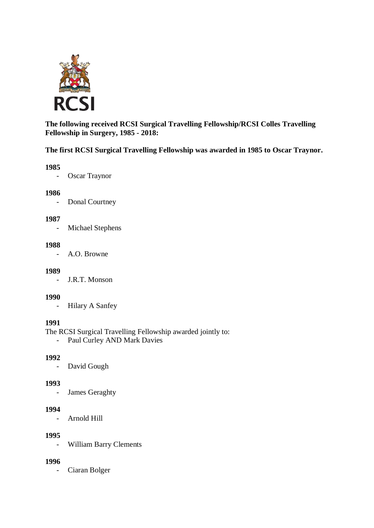

**The following received RCSI Surgical Travelling Fellowship/RCSI Colles Travelling Fellowship in Surgery, 1985 - 2018:**

### **The first RCSI Surgical Travelling Fellowship was awarded in 1985 to Oscar Traynor.**

### **1985**

- Oscar Traynor

#### **1986**

- Donal Courtney

### **1987**

- Michael Stephens

#### **1988**

- A.O. Browne

### **1989**

- J.R.T. Monson

### **1990**

- Hilary A Sanfey

### **1991**

The RCSI Surgical Travelling Fellowship awarded jointly to:

- Paul Curley AND Mark Davies

### **1992**

- David Gough

### **1993**

- James Geraghty

#### **1994**

- Arnold Hill

#### **1995**

- William Barry Clements

### **1996**

- Ciaran Bolger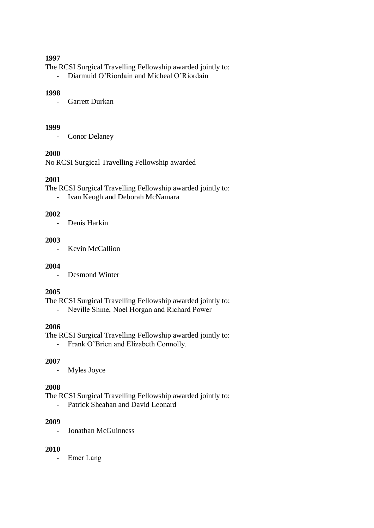#### **1997**

The RCSI Surgical Travelling Fellowship awarded jointly to:

- Diarmuid O'Riordain and Micheal O'Riordain

### **1998**

- Garrett Durkan

#### **1999**

- Conor Delaney

## **2000**

No RCSI Surgical Travelling Fellowship awarded

## **2001**

The RCSI Surgical Travelling Fellowship awarded jointly to:

- Ivan Keogh and Deborah McNamara

## **2002**

- Denis Harkin

### **2003**

- Kevin McCallion

### **2004**

- Desmond Winter

### **2005**

The RCSI Surgical Travelling Fellowship awarded jointly to:

- Neville Shine, Noel Horgan and Richard Power

## **2006**

The RCSI Surgical Travelling Fellowship awarded jointly to:

- Frank O'Brien and Elizabeth Connolly.

### **2007**

- Myles Joyce

### **2008**

The RCSI Surgical Travelling Fellowship awarded jointly to:

- Patrick Sheahan and David Leonard

## **2009**

- Jonathan McGuinness

### **2010**

- Emer Lang